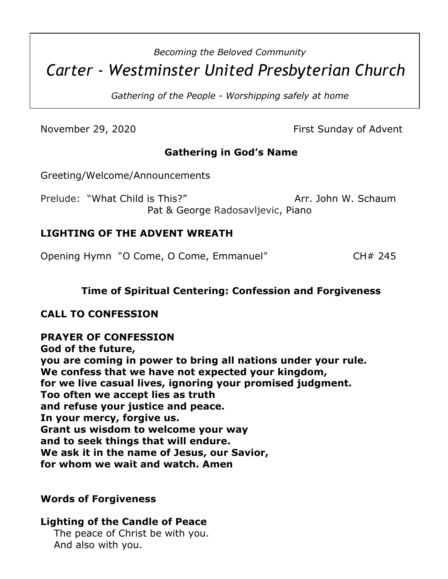# *Becoming the Beloved Community Carter - Westminster United Presbyterian Church*

*Gathering of the People - Worshipping safely at home*

November 29, 2020 **First Sunday of Advent** 

# **Gathering in God's Name**

Greeting/Welcome/Announcements

Prelude: "What Child is This?" Arr. John W. Schaum Pat & George Radosavljevic, Piano

#### **LIGHTING OF THE ADVENT WREATH**

Opening Hymn "O Come, O Come, Emmanuel" CH# 245

# **Time of Spiritual Centering: Confession and Forgiveness**

#### **CALL TO CONFESSION**

**PRAYER OF CONFESSION God of the future, you are coming in power to bring all nations under your rule. We confess that we have not expected your kingdom, for we live casual lives, ignoring your promised judgment. Too often we accept lies as truth and refuse your justice and peace. In your mercy, forgive us. Grant us wisdom to welcome your way and to seek things that will endure. We ask it in the name of Jesus, our Savior, for whom we wait and watch. Amen**

#### **Words of Forgiveness**

# **Lighting of the Candle of Peace**

 The peace of Christ be with you. And also with you.